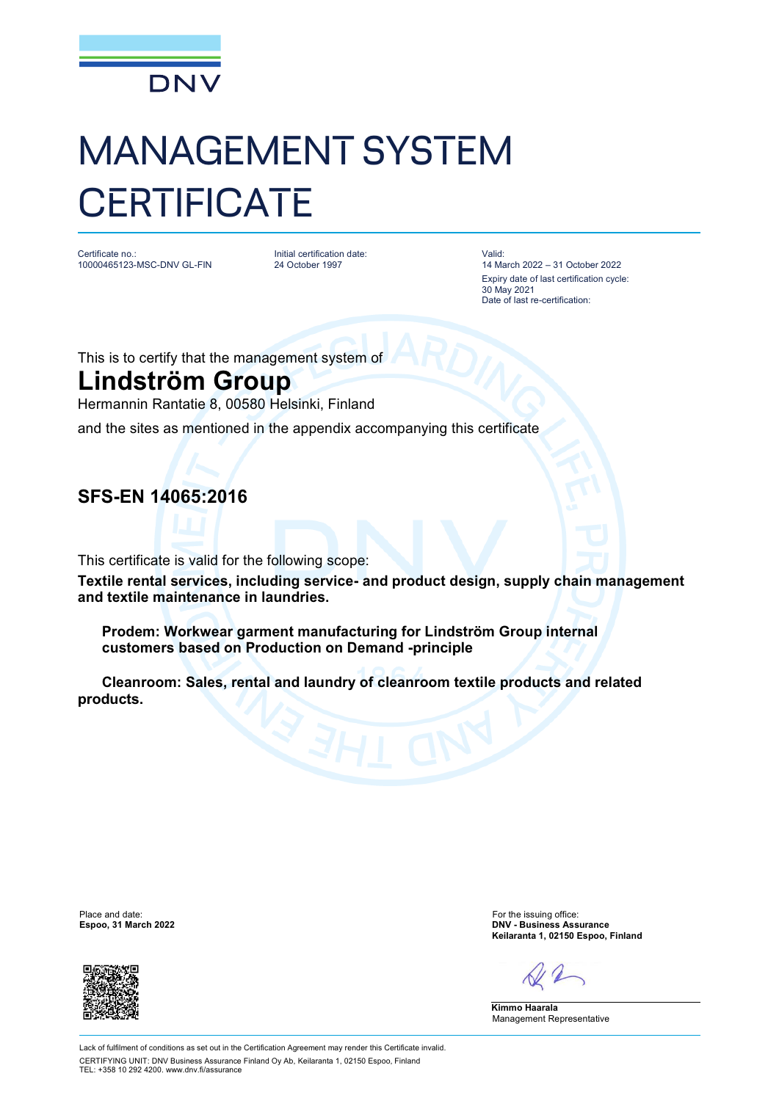

# MANAGEMENT SYSTEM **CERTIFICATE**

Certificate no.: 10000465123-MSC-DNV GL-FIN Initial certification date: 24 October 1997

Valid: 14 March 2022 – 31 October 2022 Expiry date of last certification cycle: 30 May 2021 Date of last re-certification:

This is to certify that the management system of

## **Lindström Group**

Hermannin Rantatie 8, 00580 Helsinki, Finland

and the sites as mentioned in the appendix accompanying this certificate

### **SFS-EN 14065:2016**

This certificate is valid for the following scope:

**Textile rental services, including service- and product design, supply chain management and textile maintenance in laundries.**

 **Prodem: Workwear garment manufacturing for Lindström Group internal customers based on Production on Demand -principle**

 **Cleanroom: Sales, rental and laundry of cleanroom textile products and related products.**

Place and date: For the issuing office:<br>
For the issuing office:<br>
Figure 2022<br>
PINV - Business Ass



**Espoo, 31 March 2022 DNV - Business Assurance Keilaranta 1, 02150 Espoo, Finland**

**Kimmo Haarala** Management Representative

Lack of fulfilment of conditions as set out in the Certification Agreement may render this Certificate invalid. CERTIFYING UNIT: DNV Business Assurance Finland Oy Ab, Keilaranta 1, 02150 Espoo, Finland TEL:  $+358$  10 292 4200. www.dny.fi/assurance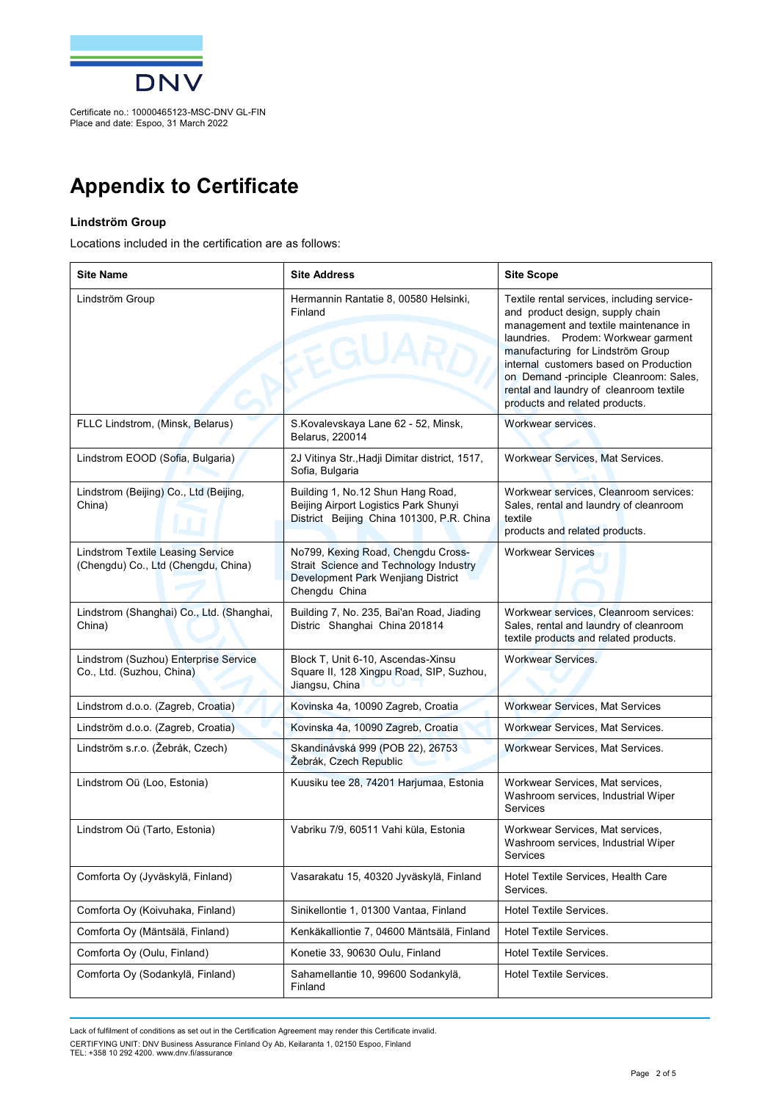

# **Appendix to Certificate**

#### **Lindström Group**

Locations included in the certification are as follows:

| <b>Site Name</b>                                                                | <b>Site Address</b>                                                                                                                 | <b>Site Scope</b>                                                                                                                                                                                                                                                                                                                                                    |
|---------------------------------------------------------------------------------|-------------------------------------------------------------------------------------------------------------------------------------|----------------------------------------------------------------------------------------------------------------------------------------------------------------------------------------------------------------------------------------------------------------------------------------------------------------------------------------------------------------------|
| Lindström Group                                                                 | Hermannin Rantatie 8, 00580 Helsinki,<br>Finland<br><b>EGU</b>                                                                      | Textile rental services, including service-<br>and product design, supply chain<br>management and textile maintenance in<br>laundries. Prodem: Workwear garment<br>manufacturing for Lindström Group<br>internal customers based on Production<br>on Demand-principle Cleanroom: Sales,<br>rental and laundry of cleanroom textile<br>products and related products. |
| FLLC Lindstrom, (Minsk, Belarus)                                                | S.Kovalevskaya Lane 62 - 52, Minsk,<br>Belarus, 220014                                                                              | Workwear services.                                                                                                                                                                                                                                                                                                                                                   |
| Lindstrom EOOD (Sofia, Bulgaria)                                                | 2J Vitinya Str., Hadji Dimitar district, 1517,<br>Sofia, Bulgaria                                                                   | Workwear Services, Mat Services.                                                                                                                                                                                                                                                                                                                                     |
| Lindstrom (Beijing) Co., Ltd (Beijing,<br>China)                                | Building 1, No.12 Shun Hang Road,<br>Beijing Airport Logistics Park Shunyi<br>District Beijing China 101300, P.R. China             | Workwear services, Cleanroom services:<br>Sales, rental and laundry of cleanroom<br>textile<br>products and related products.                                                                                                                                                                                                                                        |
| <b>Lindstrom Textile Leasing Service</b><br>(Chengdu) Co., Ltd (Chengdu, China) | No799, Kexing Road, Chengdu Cross-<br>Strait Science and Technology Industry<br>Development Park Wenjiang District<br>Chengdu China | <b>Workwear Services</b>                                                                                                                                                                                                                                                                                                                                             |
| Lindstrom (Shanghai) Co., Ltd. (Shanghai,<br>China)                             | Building 7, No. 235, Bai'an Road, Jiading<br>Distric Shanghai China 201814                                                          | Workwear services, Cleanroom services:<br>Sales, rental and laundry of cleanroom<br>textile products and related products.                                                                                                                                                                                                                                           |
| Lindstrom (Suzhou) Enterprise Service<br>Co., Ltd. (Suzhou, China)              | Block T, Unit 6-10, Ascendas-Xinsu<br>Square II, 128 Xingpu Road, SIP, Suzhou,<br>Jiangsu, China                                    | <b>Workwear Services.</b>                                                                                                                                                                                                                                                                                                                                            |
| Lindstrom d.o.o. (Zagreb, Croatia)                                              | Kovinska 4a, 10090 Zagreb, Croatia                                                                                                  | <b>Workwear Services, Mat Services</b>                                                                                                                                                                                                                                                                                                                               |
| Lindström d.o.o. (Zagreb, Croatia)                                              | Kovinska 4a, 10090 Zagreb, Croatia                                                                                                  | Workwear Services, Mat Services.                                                                                                                                                                                                                                                                                                                                     |
| Lindström s.r.o. (Žebrák, Czech)                                                | Skandinávská 999 (POB 22), 26753<br>Žebrák, Czech Republic                                                                          | Workwear Services, Mat Services.                                                                                                                                                                                                                                                                                                                                     |
| Lindstrom Oü (Loo, Estonia)                                                     | Kuusiku tee 28, 74201 Harjumaa, Estonia                                                                                             | Workwear Services, Mat services,<br>Washroom services, Industrial Wiper<br>Services                                                                                                                                                                                                                                                                                  |
| Lindstrom Oü (Tarto, Estonia)                                                   | Vabriku 7/9, 60511 Vahi küla, Estonia                                                                                               | Workwear Services, Mat services,<br>Washroom services, Industrial Wiper<br>Services                                                                                                                                                                                                                                                                                  |
| Comforta Oy (Jyväskylä, Finland)                                                | Vasarakatu 15, 40320 Jyväskylä, Finland                                                                                             | Hotel Textile Services, Health Care<br>Services.                                                                                                                                                                                                                                                                                                                     |
| Comforta Oy (Koivuhaka, Finland)                                                | Sinikellontie 1, 01300 Vantaa, Finland                                                                                              | <b>Hotel Textile Services.</b>                                                                                                                                                                                                                                                                                                                                       |
| Comforta Oy (Mäntsälä, Finland)                                                 | Kenkäkalliontie 7, 04600 Mäntsälä, Finland                                                                                          | <b>Hotel Textile Services.</b>                                                                                                                                                                                                                                                                                                                                       |
| Comforta Oy (Oulu, Finland)                                                     | Konetie 33, 90630 Oulu, Finland                                                                                                     | Hotel Textile Services.                                                                                                                                                                                                                                                                                                                                              |
| Comforta Oy (Sodankylä, Finland)                                                | Sahamellantie 10, 99600 Sodankylä,<br>Finland                                                                                       | Hotel Textile Services.                                                                                                                                                                                                                                                                                                                                              |

Lack of fulfilment of conditions as set out in the Certification Agreement may render this Certificate invalid.

CERTIFYING UNIT: DNV Business Assurance Finland Oy Ab, Keilaranta 1, 02150 Espoo, Finland<br>TEL: +358 10 292 4200. [www.dnv.fi/assurance](http://www.dnv.fi/assurance)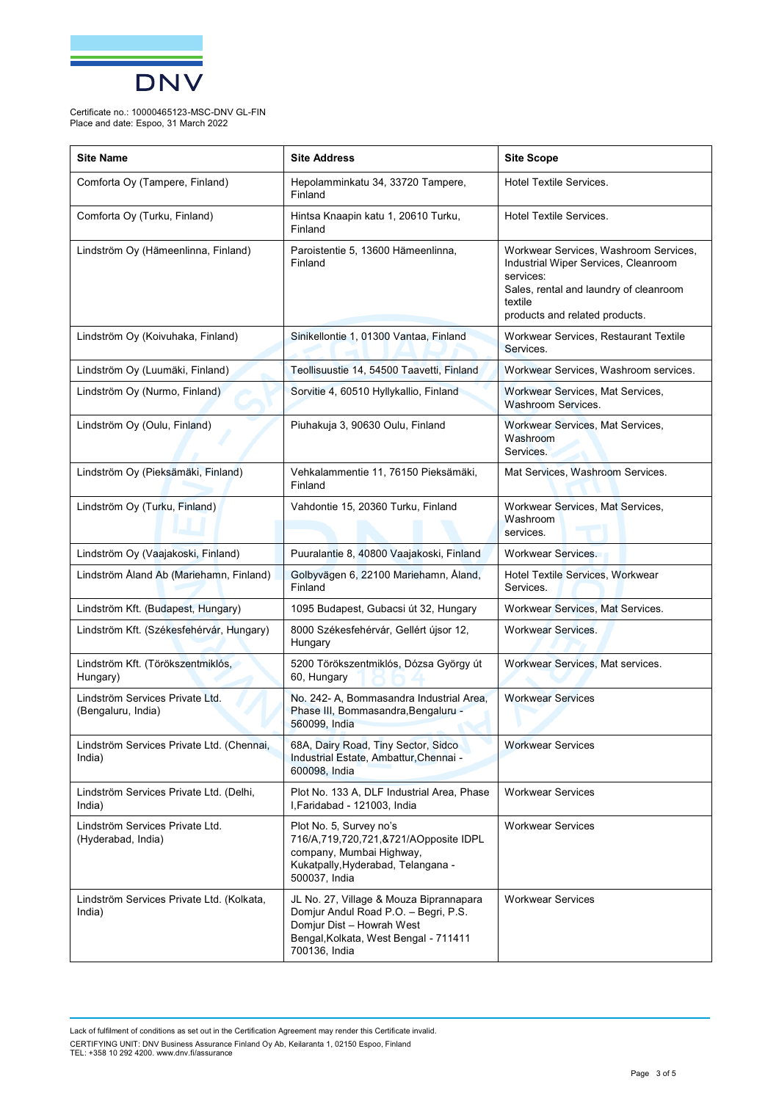

Certificate no.: 10000465123-MSC-DNV GL-FIN Place and date: Espoo, 31 March 2022

| <b>Site Name</b>                                      | <b>Site Address</b>                                                                                                                                                    | <b>Site Scope</b>                                                                                                                                                                 |
|-------------------------------------------------------|------------------------------------------------------------------------------------------------------------------------------------------------------------------------|-----------------------------------------------------------------------------------------------------------------------------------------------------------------------------------|
| Comforta Oy (Tampere, Finland)                        | Hepolamminkatu 34, 33720 Tampere,<br>Finland                                                                                                                           | <b>Hotel Textile Services.</b>                                                                                                                                                    |
| Comforta Oy (Turku, Finland)                          | Hintsa Knaapin katu 1, 20610 Turku,<br>Finland                                                                                                                         | Hotel Textile Services.                                                                                                                                                           |
| Lindström Oy (Hämeenlinna, Finland)                   | Paroistentie 5, 13600 Hämeenlinna,<br>Finland                                                                                                                          | Workwear Services, Washroom Services,<br>Industrial Wiper Services, Cleanroom<br>services:<br>Sales, rental and laundry of cleanroom<br>textile<br>products and related products. |
| Lindström Oy (Koivuhaka, Finland)                     | Sinikellontie 1, 01300 Vantaa, Finland                                                                                                                                 | Workwear Services, Restaurant Textile<br>Services.                                                                                                                                |
| Lindström Oy (Luumäki, Finland)                       | Teollisuustie 14, 54500 Taavetti, Finland                                                                                                                              | Workwear Services, Washroom services.                                                                                                                                             |
| Lindström Oy (Nurmo, Finland)                         | Sorvitie 4, 60510 Hyllykallio, Finland                                                                                                                                 | Workwear Services, Mat Services,<br><b>Washroom Services.</b>                                                                                                                     |
| Lindström Oy (Oulu, Finland)                          | Piuhakuja 3, 90630 Oulu, Finland                                                                                                                                       | Workwear Services, Mat Services,<br>Washroom<br>Services.                                                                                                                         |
| Lindström Oy (Pieksämäki, Finland)                    | Vehkalammentie 11, 76150 Pieksämäki,<br>Finland                                                                                                                        | Mat Services, Washroom Services.                                                                                                                                                  |
| Lindström Oy (Turku, Finland)                         | Vahdontie 15, 20360 Turku, Finland                                                                                                                                     | Workwear Services, Mat Services,<br>Washroom<br>services.                                                                                                                         |
| Lindström Oy (Vaajakoski, Finland)                    | Puuralantie 8, 40800 Vaajakoski, Finland                                                                                                                               | Workwear Services.                                                                                                                                                                |
| Lindström Åland Ab (Mariehamn, Finland)               | Golbyvägen 6, 22100 Mariehamn, Åland,<br>Finland                                                                                                                       | Hotel Textile Services, Workwear<br>Services.                                                                                                                                     |
| Lindström Kft. (Budapest, Hungary)                    | 1095 Budapest, Gubacsi út 32, Hungary                                                                                                                                  | Workwear Services, Mat Services.                                                                                                                                                  |
| Lindström Kft. (Székesfehérvár, Hungary)              | 8000 Székesfehérvár, Gellért újsor 12,<br>Hungary                                                                                                                      | <b>Workwear Services.</b>                                                                                                                                                         |
| Lindström Kft. (Törökszentmiklós,<br>Hungary)         | 5200 Törökszentmiklós, Dózsa György út<br>60, Hungary                                                                                                                  | Workwear Services, Mat services.                                                                                                                                                  |
| Lindström Services Private Ltd.<br>(Bengaluru, India) | No. 242- A, Bommasandra Industrial Area,<br>Phase III, Bommasandra, Bengaluru -<br>560099, India                                                                       | <b>Workwear Services</b>                                                                                                                                                          |
| Lindström Services Private Ltd. (Chennai,<br>India)   | 68A, Dairy Road, Tiny Sector, Sidco<br>Industrial Estate, Ambattur, Chennai -<br>600098, India                                                                         | <b>Workwear Services</b>                                                                                                                                                          |
| Lindström Services Private Ltd. (Delhi,<br>India)     | Plot No. 133 A, DLF Industrial Area, Phase<br>I, Faridabad - 121003, India                                                                                             | <b>Workwear Services</b>                                                                                                                                                          |
| Lindström Services Private Ltd.<br>(Hyderabad, India) | Plot No. 5, Survey no's<br>716/A,719,720,721,&721/AOpposite IDPL<br>company, Mumbai Highway,<br>Kukatpally, Hyderabad, Telangana -<br>500037, India                    | <b>Workwear Services</b>                                                                                                                                                          |
| Lindström Services Private Ltd. (Kolkata,<br>India)   | JL No. 27, Village & Mouza Biprannapara<br>Domjur Andul Road P.O. - Begri, P.S.<br>Domjur Dist - Howrah West<br>Bengal, Kolkata, West Bengal - 711411<br>700136, India | <b>Workwear Services</b>                                                                                                                                                          |

Lack of fulfilment of conditions as set out in the Certification Agreement may render this Certificate invalid. CERTIFYING UNIT: DNV Business Assurance Finland Oy Ab, Keilaranta 1, 02150 Espoo, Finland<br>TEL: +358 10 292 4200. [www.dnv.fi/assurance](http://www.dnv.fi/assurance)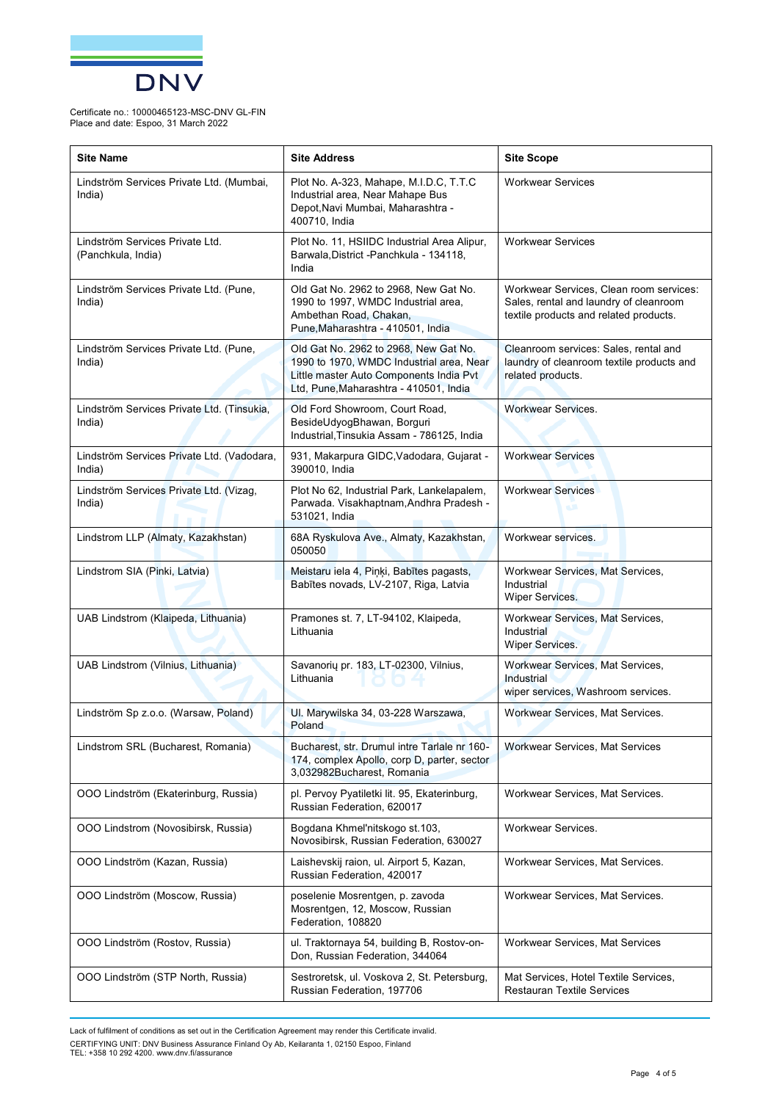

Certificate no.: 10000465123-MSC-DNV GL-FIN Place and date: Espoo, 31 March 2022

| <b>Site Name</b>                                      | <b>Site Address</b>                                                                                                                                                    | <b>Site Scope</b>                                                                                                           |
|-------------------------------------------------------|------------------------------------------------------------------------------------------------------------------------------------------------------------------------|-----------------------------------------------------------------------------------------------------------------------------|
| Lindström Services Private Ltd. (Mumbai,<br>India)    | Plot No. A-323, Mahape, M.I.D.C, T.T.C<br>Industrial area, Near Mahape Bus<br>Depot, Navi Mumbai, Maharashtra -<br>400710, India                                       | <b>Workwear Services</b>                                                                                                    |
| Lindström Services Private Ltd.<br>(Panchkula, India) | Plot No. 11, HSIIDC Industrial Area Alipur,<br>Barwala, District - Panchkula - 134118,<br>India                                                                        | <b>Workwear Services</b>                                                                                                    |
| Lindström Services Private Ltd. (Pune,<br>India)      | Old Gat No. 2962 to 2968, New Gat No.<br>1990 to 1997, WMDC Industrial area,<br>Ambethan Road, Chakan,<br>Pune, Maharashtra - 410501, India                            | Workwear Services, Clean room services:<br>Sales, rental and laundry of cleanroom<br>textile products and related products. |
| Lindström Services Private Ltd. (Pune,<br>India)      | Old Gat No. 2962 to 2968, New Gat No.<br>1990 to 1970, WMDC Industrial area, Near<br>Little master Auto Components India Pvt<br>Ltd, Pune, Maharashtra - 410501, India | Cleanroom services: Sales, rental and<br>laundry of cleanroom textile products and<br>related products.                     |
| Lindström Services Private Ltd. (Tinsukia,<br>India)  | Old Ford Showroom, Court Road,<br>BesideUdyogBhawan, Borguri<br>Industrial, Tinsukia Assam - 786125, India                                                             | <b>Workwear Services.</b>                                                                                                   |
| Lindström Services Private Ltd. (Vadodara,<br>India)  | 931, Makarpura GIDC, Vadodara, Gujarat -<br>390010, India                                                                                                              | <b>Workwear Services</b>                                                                                                    |
| Lindström Services Private Ltd. (Vizag,<br>India)     | Plot No 62, Industrial Park, Lankelapalem,<br>Parwada. Visakhaptnam, Andhra Pradesh -<br>531021, India                                                                 | <b>Workwear Services</b>                                                                                                    |
| Lindstrom LLP (Almaty, Kazakhstan)                    | 68A Ryskulova Ave., Almaty, Kazakhstan,<br>050050                                                                                                                      | Workwear services.                                                                                                          |
| Lindstrom SIA (Pinki, Latvia)                         | Meistaru iela 4, Piņķi, Babītes pagasts,<br>Babītes novads, LV-2107, Riga, Latvia                                                                                      | Workwear Services, Mat Services,<br>Industrial<br>Wiper Services.                                                           |
| UAB Lindstrom (Klaipeda, Lithuania)                   | Pramones st. 7, LT-94102, Klaipeda,<br>Lithuania                                                                                                                       | Workwear Services, Mat Services,<br>Industrial<br>Wiper Services.                                                           |
| UAB Lindstrom (Vilnius, Lithuania)                    | Savanorių pr. 183, LT-02300, Vilnius,<br>Lithuania                                                                                                                     | Workwear Services, Mat Services,<br>Industrial<br>wiper services, Washroom services.                                        |
| Lindström Sp z.o.o. (Warsaw, Poland)                  | UI. Marywilska 34, 03-228 Warszawa,<br>Poland                                                                                                                          | Workwear Services, Mat Services.                                                                                            |
| Lindstrom SRL (Bucharest, Romania)                    | Bucharest, str. Drumul intre Tarlale nr 160-<br>174, complex Apollo, corp D, parter, sector<br>3,032982Bucharest, Romania                                              | Workwear Services, Mat Services                                                                                             |
| OOO Lindström (Ekaterinburg, Russia)                  | pl. Pervoy Pyatiletki lit. 95, Ekaterinburg,<br>Russian Federation, 620017                                                                                             | Workwear Services, Mat Services.                                                                                            |
| OOO Lindstrom (Novosibirsk, Russia)                   | Bogdana Khmel'nitskogo st.103,<br>Novosibirsk, Russian Federation, 630027                                                                                              | Workwear Services.                                                                                                          |
| 000 Lindström (Kazan, Russia)                         | Laishevskij raion, ul. Airport 5, Kazan,<br>Russian Federation, 420017                                                                                                 | Workwear Services, Mat Services.                                                                                            |
| OOO Lindström (Moscow, Russia)                        | poselenie Mosrentgen, p. zavoda<br>Mosrentgen, 12, Moscow, Russian<br>Federation, 108820                                                                               | Workwear Services, Mat Services.                                                                                            |
| OOO Lindström (Rostov, Russia)                        | ul. Traktornaya 54, building B, Rostov-on-<br>Don, Russian Federation, 344064                                                                                          | Workwear Services, Mat Services                                                                                             |
| OOO Lindström (STP North, Russia)                     | Sestroretsk, ul. Voskova 2, St. Petersburg,<br>Russian Federation, 197706                                                                                              | Mat Services, Hotel Textile Services,<br><b>Restauran Textile Services</b>                                                  |

Lack of fulfilment of conditions as set out in the Certification Agreement may render this Certificate invalid.

CERTIFYING UNIT: DNV Business Assurance Finland Oy Ab, Keilaranta 1, 02150 Espoo, Finland<br>TEL: +358 10 292 4200. [www.dnv.fi/assurance](http://www.dnv.fi/assurance)